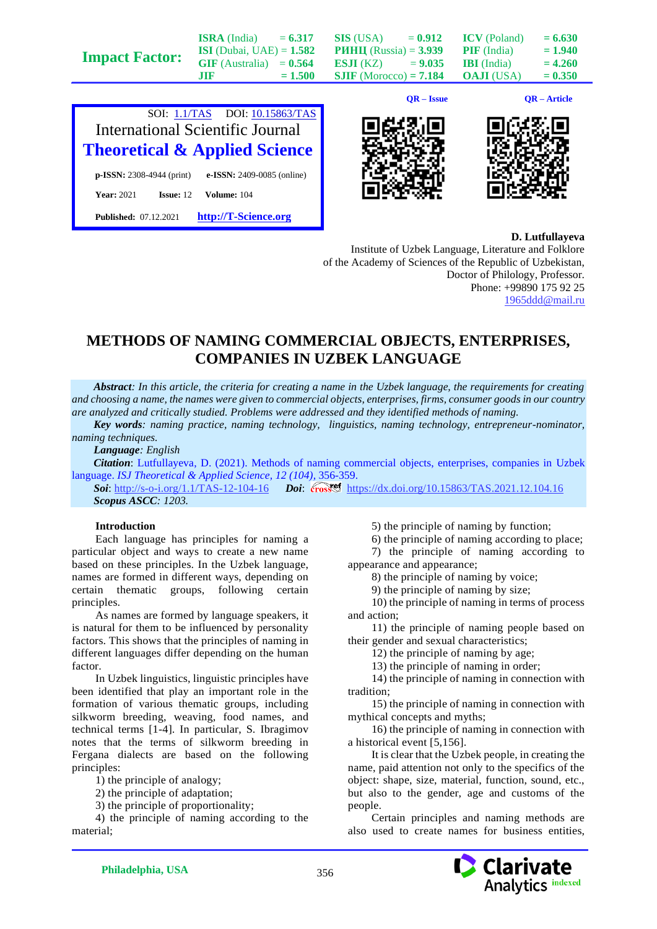|                       |                                   |           |                                 | $QR - Issue$ |                     | QR – Article |
|-----------------------|-----------------------------------|-----------|---------------------------------|--------------|---------------------|--------------|
|                       | .TIF                              | $= 1.500$ | $SIIF$ (Morocco) = 7.184        |              | <b>OAJI</b> (USA)   | $= 0.350$    |
| <b>Impact Factor:</b> | $GIF$ (Australia) = $0.564$       |           | <b>ESJI</b> (KZ) = $9.035$      |              | <b>IBI</b> (India)  | $= 4.260$    |
|                       | <b>ISI</b> (Dubai, UAE) = $1.582$ |           | <b>PHHII</b> (Russia) = $3.939$ |              | <b>PIF</b> (India)  | $= 1.940$    |
|                       | <b>ISRA</b> (India)               | $= 6.317$ | SIS (USA)                       | $= 0.912$    | <b>ICV</b> (Poland) | $= 6.630$    |







**D. Lutfullayeva**

Institute of Uzbek Language, Literature and Folklore of the Academy of Sciences of the Republic of Uzbekistan, Doctor of Philology, Professor. Phone: +99890 175 92 25 [1965ddd@mail.ru](mailto:1965ddd@mail.ru)

## **METHODS OF NAMING COMMERCIAL OBJECTS, ENTERPRISES, COMPANIES IN UZBEK LANGUAGE**

*Abstract: In this article, the criteria for creating a name in the Uzbek language, the requirements for creating and choosing a name, the names were given to commercial objects, enterprises, firms, consumer goods in our country are analyzed and critically studied. Problems were addressed and they identified methods of naming.*

*Key words: naming practice, naming technology, linguistics, naming technology, entrepreneur-nominator, naming techniques.*

*Language: English*

*Citation*: Lutfullayeva, D. (2021). Methods of naming commercial objects, enterprises, companies in Uzbek language. *ISJ Theoretical & Applied Science, 12 (104),* 356-359.

Soi[: http://s-o-i.org/1.1/TAS-12-104-16](http://s-o-i.org/1.1/TAS-12-104-16) *Doi: crossed <https://dx.doi.org/10.15863/TAS.2021.12.104.16> Scopus ASCC: 1203.*

## **Introduction**

Each language has principles for naming a particular object and ways to create a new name based on these principles. In the Uzbek language, names are formed in different ways, depending on certain thematic groups, following certain principles.

As names are formed by language speakers, it is natural for them to be influenced by personality factors. This shows that the principles of naming in different languages differ depending on the human factor.

In Uzbek linguistics, linguistic principles have been identified that play an important role in the formation of various thematic groups, including silkworm breeding, weaving, food names, and technical terms [1-4]. In particular, S. Ibragimov notes that the terms of silkworm breeding in Fergana dialects are based on the following principles:

1) the principle of analogy;

2) the principle of adaptation;

3) the principle of proportionality;

4) the principle of naming according to the material;

5) the principle of naming by function;

6) the principle of naming according to place; 7) the principle of naming according to

appearance and appearance;

8) the principle of naming by voice;

9) the principle of naming by size;

10) the principle of naming in terms of process and action;

11) the principle of naming people based on their gender and sexual characteristics;

12) the principle of naming by age;

13) the principle of naming in order;

14) the principle of naming in connection with tradition;

15) the principle of naming in connection with mythical concepts and myths;

16) the principle of naming in connection with a historical event [5,156].

It is clear that the Uzbek people, in creating the name, paid attention not only to the specifics of the object: shape, size, material, function, sound, etc., but also to the gender, age and customs of the people.

Certain principles and naming methods are also used to create names for business entities,

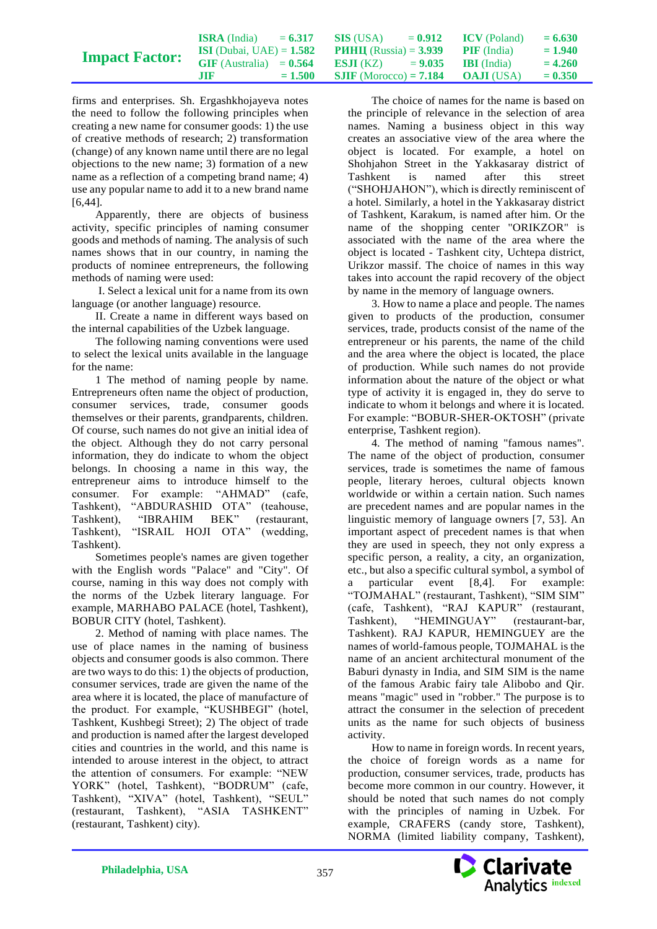|                       | <b>ISRA</b> (India)               | $= 6.317$ | <b>SIS</b> (USA)                | $= 0.912$ | <b>ICV</b> (Poland) | $= 6.630$ |
|-----------------------|-----------------------------------|-----------|---------------------------------|-----------|---------------------|-----------|
|                       | <b>ISI</b> (Dubai, UAE) = $1.582$ |           | <b>PHHII</b> (Russia) = $3.939$ |           | <b>PIF</b> (India)  | $= 1.940$ |
| <b>Impact Factor:</b> | $GIF$ (Australia) = $0.564$       |           | <b>ES.II</b> (KZ) $= 9.035$     |           | <b>IBI</b> (India)  | $= 4.260$ |
|                       | MF                                | $= 1.500$ | <b>SJIF</b> (Morocco) = $7.184$ |           | <b>OAJI</b> (USA)   | $= 0.350$ |

firms and enterprises. Sh. Ergashkhojayeva notes the need to follow the following principles when creating a new name for consumer goods: 1) the use of creative methods of research; 2) transformation (change) of any known name until there are no legal objections to the new name; 3) formation of a new name as a reflection of a competing brand name; 4) use any popular name to add it to a new brand name [6,44].

Apparently, there are objects of business activity, specific principles of naming consumer goods and methods of naming. The analysis of such names shows that in our country, in naming the products of nominee entrepreneurs, the following methods of naming were used:

I. Select a lexical unit for a name from its own language (or another language) resource.

II. Create a name in different ways based on the internal capabilities of the Uzbek language.

The following naming conventions were used to select the lexical units available in the language for the name:

1 The method of naming people by name. Entrepreneurs often name the object of production, consumer services, trade, consumer goods themselves or their parents, grandparents, children. Of course, such names do not give an initial idea of the object. Although they do not carry personal information, they do indicate to whom the object belongs. In choosing a name in this way, the entrepreneur aims to introduce himself to the consumer. For example: "AHMAD" (cafe, Tashkent), "ABDURASHID OTA" (teahouse, Tashkent), "IBRAHIM BEK" (restaurant, Tashkent), "ISRAIL HOJI OTA" (wedding, Tashkent).

Sometimes people's names are given together with the English words "Palace" and "City". Of course, naming in this way does not comply with the norms of the Uzbek literary language. For example, MARHABO PALACE (hotel, Tashkent), BOBUR CITY (hotel, Tashkent).

2. Method of naming with place names. The use of place names in the naming of business objects and consumer goods is also common. There are two ways to do this: 1) the objects of production, consumer services, trade are given the name of the area where it is located, the place of manufacture of the product. For example, "KUSHBEGI" (hotel, Tashkent, Kushbegi Street); 2) The object of trade and production is named after the largest developed cities and countries in the world, and this name is intended to arouse interest in the object, to attract the attention of consumers. For example: "NEW YORK" (hotel, Tashkent), "BODRUM" (cafe, Tashkent), "XIVA" (hotel, Tashkent), "SEUL" (restaurant, Tashkent), "ASIA TASHKENT" (restaurant, Tashkent) city).

The choice of names for the name is based on the principle of relevance in the selection of area names. Naming a business object in this way creates an associative view of the area where the object is located. For example, a hotel on Shohjahon Street in the Yakkasaray district of Tashkent is named after this street ("SHOHJAHON"), which is directly reminiscent of a hotel. Similarly, a hotel in the Yakkasaray district of Tashkent, Karakum, is named after him. Or the name of the shopping center "ORIKZOR" is associated with the name of the area where the object is located - Tashkent city, Uchtepa district, Urikzor massif. The choice of names in this way takes into account the rapid recovery of the object by name in the memory of language owners.

3. How to name a place and people. The names given to products of the production, consumer services, trade, products consist of the name of the entrepreneur or his parents, the name of the child and the area where the object is located, the place of production. While such names do not provide information about the nature of the object or what type of activity it is engaged in, they do serve to indicate to whom it belongs and where it is located. For example: "BOBUR-SHER-OKTOSH" (private enterprise, Tashkent region).

4. The method of naming "famous names". The name of the object of production, consumer services, trade is sometimes the name of famous people, literary heroes, cultural objects known worldwide or within a certain nation. Such names are precedent names and are popular names in the linguistic memory of language owners [7, 53]. An important aspect of precedent names is that when they are used in speech, they not only express a specific person, a reality, a city, an organization, etc., but also a specific cultural symbol, a symbol of a particular event [8,4]. For example: "TOJMAHAL" (restaurant, Tashkent), "SIM SIM" (cafe, Tashkent), "RAJ KAPUR" (restaurant, Tashkent), "HEMINGUAY" (restaurant-bar, Tashkent). RAJ KAPUR, HEMINGUEY are the names of world-famous people, TOJMAHAL is the name of an ancient architectural monument of the Baburi dynasty in India, and SIM SIM is the name of the famous Arabic fairy tale Alibobo and Qir. means "magic" used in "robber." The purpose is to attract the consumer in the selection of precedent units as the name for such objects of business activity.

How to name in foreign words. In recent years, the choice of foreign words as a name for production, consumer services, trade, products has become more common in our country. However, it should be noted that such names do not comply with the principles of naming in Uzbek. For example, CRAFERS (candy store, Tashkent), NORMA (limited liability company, Tashkent),

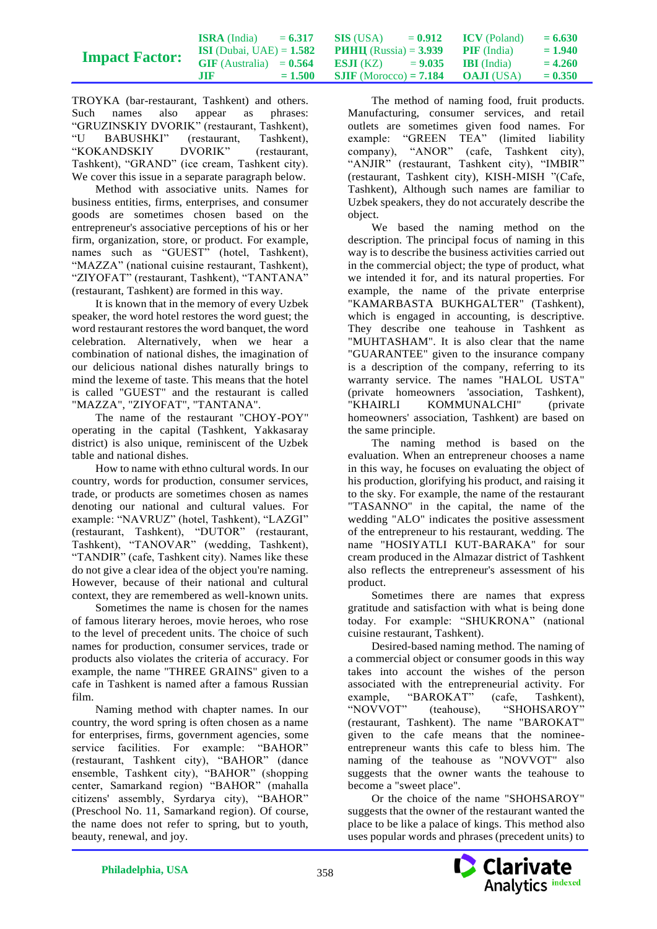|                       | <b>ISRA</b> (India)               | $= 6.317$ | <b>SIS</b> (USA)                | $= 0.912$ | <b>ICV</b> (Poland) | $= 6.630$ |
|-----------------------|-----------------------------------|-----------|---------------------------------|-----------|---------------------|-----------|
|                       | <b>ISI</b> (Dubai, UAE) = $1.582$ |           | <b>PHHII</b> (Russia) = $3.939$ |           | <b>PIF</b> (India)  | $= 1.940$ |
| <b>Impact Factor:</b> | $GIF$ (Australia) = $0.564$       |           | <b>ESJI</b> (KZ) = $9.035$      |           | <b>IBI</b> (India)  | $= 4.260$ |
|                       | .TIF                              | $= 1.500$ | <b>SJIF</b> (Morocco) = $7.184$ |           | <b>OAJI</b> (USA)   | $= 0.350$ |

TROYKA (bar-restaurant, Tashkent) and others. Such names also appear as phrases: "GRUZINSKIY DVORIK" (restaurant, Tashkent), BABUSHKI" (restaurant, Tashkent), "KOKANDSKIY DVORIK" (restaurant, Tashkent), "GRAND" (ice cream, Tashkent city). We cover this issue in a separate paragraph below.

Method with associative units. Names for business entities, firms, enterprises, and consumer goods are sometimes chosen based on the entrepreneur's associative perceptions of his or her firm, organization, store, or product. For example, names such as "GUEST" (hotel, Tashkent), "MAZZA" (national cuisine restaurant, Tashkent), "ZIYOFAT" (restaurant, Tashkent), "TANTANA" (restaurant, Tashkent) are formed in this way.

It is known that in the memory of every Uzbek speaker, the word hotel restores the word guest; the word restaurant restores the word banquet, the word celebration. Alternatively, when we hear a combination of national dishes, the imagination of our delicious national dishes naturally brings to mind the lexeme of taste. This means that the hotel is called "GUEST" and the restaurant is called "MAZZA", "ZIYOFAT", "TANTANA".

The name of the restaurant "CHOY-POY" operating in the capital (Tashkent, Yakkasaray district) is also unique, reminiscent of the Uzbek table and national dishes.

How to name with ethno cultural words. In our country, words for production, consumer services, trade, or products are sometimes chosen as names denoting our national and cultural values. For example: "NAVRUZ" (hotel, Tashkent), "LAZGI" (restaurant, Tashkent), "DUTOR" (restaurant, Tashkent), "TANOVAR" (wedding, Tashkent), "TANDIR" (cafe, Tashkent city). Names like these do not give a clear idea of the object you're naming. However, because of their national and cultural context, they are remembered as well-known units.

Sometimes the name is chosen for the names of famous literary heroes, movie heroes, who rose to the level of precedent units. The choice of such names for production, consumer services, trade or products also violates the criteria of accuracy. For example, the name "THREE GRAINS" given to a cafe in Tashkent is named after a famous Russian film.

Naming method with chapter names. In our country, the word spring is often chosen as a name for enterprises, firms, government agencies, some service facilities. For example: "BAHOR" (restaurant, Tashkent city), "BAHOR" (dance ensemble, Tashkent city), "BAHOR" (shopping center, Samarkand region) "BAHOR" (mahalla citizens' assembly, Syrdarya city), "BAHOR" (Preschool No. 11, Samarkand region). Of course, the name does not refer to spring, but to youth, beauty, renewal, and joy.

The method of naming food, fruit products. Manufacturing, consumer services, and retail outlets are sometimes given food names. For example: "GREEN TEA" (limited liability company), "ANOR" (cafe, Tashkent city), "ANJIR" (restaurant, Tashkent city), "IMBIR" (restaurant, Tashkent city), KISH-MISH "(Cafe, Tashkent), Although such names are familiar to Uzbek speakers, they do not accurately describe the object.

We based the naming method on the description. The principal focus of naming in this way is to describe the business activities carried out in the commercial object; the type of product, what we intended it for, and its natural properties. For example, the name of the private enterprise "KAMARBASTA BUKHGALTER" (Tashkent), which is engaged in accounting, is descriptive. They describe one teahouse in Tashkent as "MUHTASHAM". It is also clear that the name "GUARANTEE" given to the insurance company is a description of the company, referring to its warranty service. The names "HALOL USTA" (private homeowners 'association, Tashkent), "KHAIRLI KOMMUNALCHI" (private homeowners' association, Tashkent) are based on the same principle.

The naming method is based on the evaluation. When an entrepreneur chooses a name in this way, he focuses on evaluating the object of his production, glorifying his product, and raising it to the sky. For example, the name of the restaurant "TASANNO" in the capital, the name of the wedding "ALO" indicates the positive assessment of the entrepreneur to his restaurant, wedding. The name "HOSIYATLI KUT-BARAKA" for sour cream produced in the Almazar district of Tashkent also reflects the entrepreneur's assessment of his product.

Sometimes there are names that express gratitude and satisfaction with what is being done today. For example: "SHUKRONA" (national cuisine restaurant, Tashkent).

Desired-based naming method. The naming of a commercial object or consumer goods in this way takes into account the wishes of the person associated with the entrepreneurial activity. For example, "BAROKAT" (cafe, Tashkent),<br>"NOVVOT" (teahouse), "SHOHSAROY" (teahouse). "SHOHSAROY" (restaurant, Tashkent). The name "BAROKAT" given to the cafe means that the nomineeentrepreneur wants this cafe to bless him. The naming of the teahouse as "NOVVOT" also suggests that the owner wants the teahouse to become a "sweet place".

Or the choice of the name "SHOHSAROY" suggests that the owner of the restaurant wanted the place to be like a palace of kings. This method also uses popular words and phrases (precedent units) to